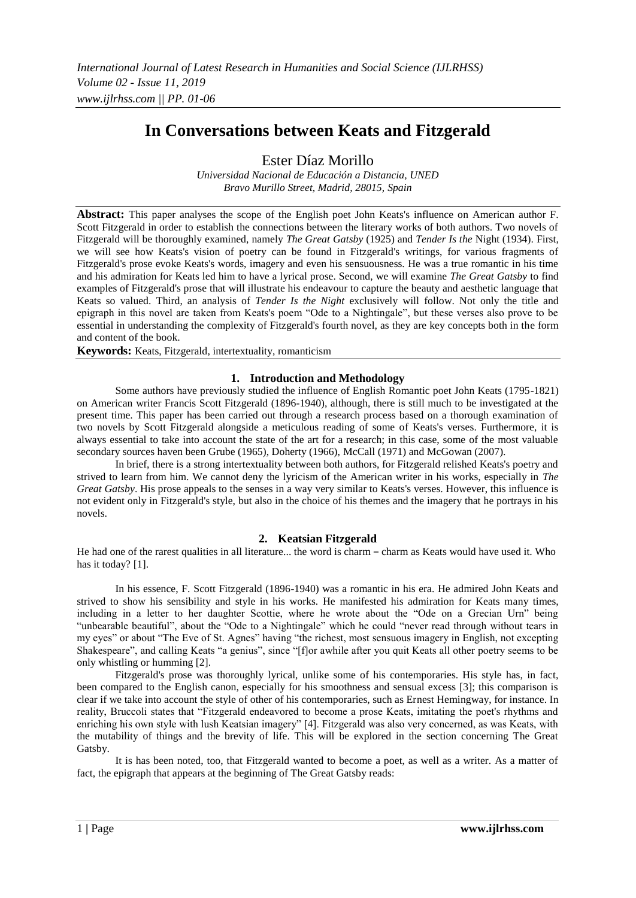# **In Conversations between Keats and Fitzgerald**

Ester Díaz Morillo

*Universidad Nacional de Educación a Distancia, UNED Bravo Murillo Street, Madrid, 28015, Spain*

**Abstract:** This paper analyses the scope of the English poet John Keats's influence on American author F. Scott Fitzgerald in order to establish the connections between the literary works of both authors. Two novels of Fitzgerald will be thoroughly examined, namely *The Great Gatsby* (1925) and *Tender Is the* Night (1934). First, we will see how Keats's vision of poetry can be found in Fitzgerald's writings, for various fragments of Fitzgerald's prose evoke Keats's words, imagery and even his sensuousness. He was a true romantic in his time and his admiration for Keats led him to have a lyrical prose. Second, we will examine *The Great Gatsby* to find examples of Fitzgerald's prose that will illustrate his endeavour to capture the beauty and aesthetic language that Keats so valued. Third, an analysis of *Tender Is the Night* exclusively will follow. Not only the title and epigraph in this novel are taken from Keats's poem "Ode to a Nightingale", but these verses also prove to be essential in understanding the complexity of Fitzgerald's fourth novel, as they are key concepts both in the form and content of the book.

**Keywords:** Keats, Fitzgerald, intertextuality, romanticism

## **1. Introduction and Methodology**

Some authors have previously studied the influence of English Romantic poet John Keats (1795-1821) on American writer Francis Scott Fitzgerald (1896-1940), although, there is still much to be investigated at the present time. This paper has been carried out through a research process based on a thorough examination of two novels by Scott Fitzgerald alongside a meticulous reading of some of Keats's verses. Furthermore, it is always essential to take into account the state of the art for a research; in this case, some of the most valuable secondary sources haven been Grube (1965), Doherty (1966), McCall (1971) and McGowan (2007).

In brief, there is a strong intertextuality between both authors, for Fitzgerald relished Keats's poetry and strived to learn from him. We cannot deny the lyricism of the American writer in his works, especially in *The Great Gatsby*. His prose appeals to the senses in a way very similar to Keats's verses. However, this influence is not evident only in Fitzgerald's style, but also in the choice of his themes and the imagery that he portrays in his novels.

## **2. Keatsian Fitzgerald**

He had one of the rarest qualities in all literature... the word is charm – charm as Keats would have used it. Who has it today? [1].

In his essence, F. Scott Fitzgerald (1896-1940) was a romantic in his era. He admired John Keats and strived to show his sensibility and style in his works. He manifested his admiration for Keats many times, including in a letter to her daughter Scottie, where he wrote about the "Ode on a Grecian Urn" being "unbearable beautiful", about the "Ode to a Nightingale" which he could "never read through without tears in my eyes" or about "The Eve of St. Agnes" having "the richest, most sensuous imagery in English, not excepting Shakespeare", and calling Keats "a genius", since "[f]or awhile after you quit Keats all other poetry seems to be only whistling or humming [2].

Fitzgerald's prose was thoroughly lyrical, unlike some of his contemporaries. His style has, in fact, been compared to the English canon, especially for his smoothness and sensual excess [3]; this comparison is clear if we take into account the style of other of his contemporaries, such as Ernest Hemingway, for instance. In reality, Bruccoli states that "Fitzgerald endeavored to become a prose Keats, imitating the poet's rhythms and enriching his own style with lush Keatsian imagery" [4]. Fitzgerald was also very concerned, as was Keats, with the mutability of things and the brevity of life. This will be explored in the section concerning The Great Gatsby.

It is has been noted, too, that Fitzgerald wanted to become a poet, as well as a writer. As a matter of fact, the epigraph that appears at the beginning of The Great Gatsby reads: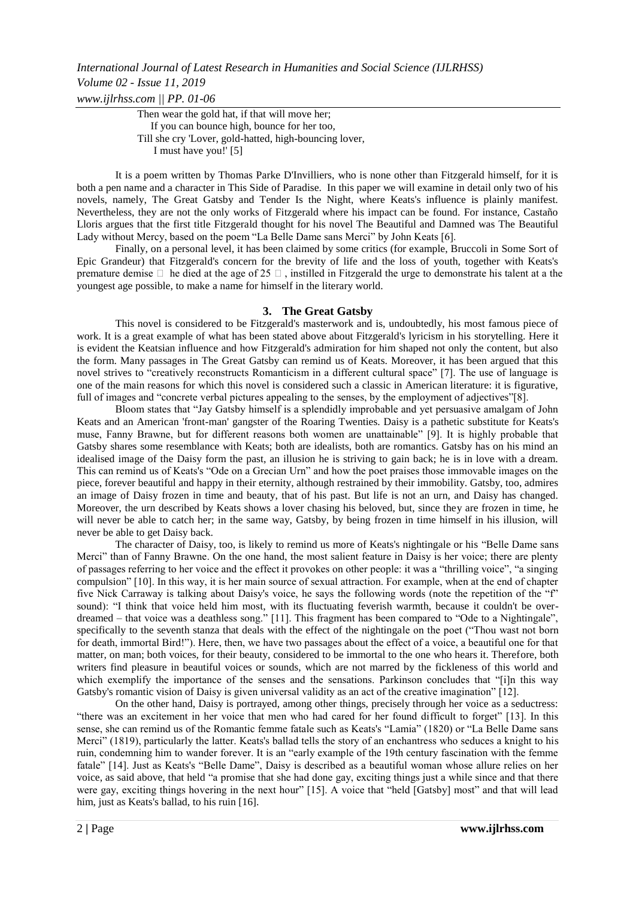Then wear the gold hat, if that will move her; If you can bounce high, bounce for her too, Till she cry 'Lover, gold-hatted, high-bouncing lover, I must have you!' [5]

It is a poem written by Thomas Parke D'Invilliers, who is none other than Fitzgerald himself, for it is both a pen name and a character in This Side of Paradise. In this paper we will examine in detail only two of his novels, namely, The Great Gatsby and Tender Is the Night, where Keats's influence is plainly manifest. Nevertheless, they are not the only works of Fitzgerald where his impact can be found. For instance, Castaño Lloris argues that the first title Fitzgerald thought for his novel The Beautiful and Damned was The Beautiful Lady without Mercy, based on the poem "La Belle Dame sans Merci" by John Keats [6].

Finally, on a personal level, it has been claimed by some critics (for example, Bruccoli in Some Sort of Epic Grandeur) that Fitzgerald's concern for the brevity of life and the loss of youth, together with Keats's premature demise  $\Box$  he died at the age of 25  $\Box$ , instilled in Fitzgerald the urge to demonstrate his talent at a the youngest age possible, to make a name for himself in the literary world.

#### **3. The Great Gatsby**

This novel is considered to be Fitzgerald's masterwork and is, undoubtedly, his most famous piece of work. It is a great example of what has been stated above about Fitzgerald's lyricism in his storytelling. Here it is evident the Keatsian influence and how Fitzgerald's admiration for him shaped not only the content, but also the form. Many passages in The Great Gatsby can remind us of Keats. Moreover, it has been argued that this novel strives to "creatively reconstructs Romanticism in a different cultural space" [7]. The use of language is one of the main reasons for which this novel is considered such a classic in American literature: it is figurative, full of images and "concrete verbal pictures appealing to the senses, by the employment of adjectives"[8].

Bloom states that "Jay Gatsby himself is a splendidly improbable and yet persuasive amalgam of John Keats and an American 'front-man' gangster of the Roaring Twenties. Daisy is a pathetic substitute for Keats's muse, Fanny Brawne, but for different reasons both women are unattainable" [9]. It is highly probable that Gatsby shares some resemblance with Keats; both are idealists, both are romantics. Gatsby has on his mind an idealised image of the Daisy form the past, an illusion he is striving to gain back; he is in love with a dream. This can remind us of Keats's "Ode on a Grecian Urn" and how the poet praises those immovable images on the piece, forever beautiful and happy in their eternity, although restrained by their immobility. Gatsby, too, admires an image of Daisy frozen in time and beauty, that of his past. But life is not an urn, and Daisy has changed. Moreover, the urn described by Keats shows a lover chasing his beloved, but, since they are frozen in time, he will never be able to catch her; in the same way, Gatsby, by being frozen in time himself in his illusion, will never be able to get Daisy back.

The character of Daisy, too, is likely to remind us more of Keats's nightingale or his "Belle Dame sans Merci" than of Fanny Brawne. On the one hand, the most salient feature in Daisy is her voice; there are plenty of passages referring to her voice and the effect it provokes on other people: it was a "thrilling voice", "a singing compulsion" [10]. In this way, it is her main source of sexual attraction. For example, when at the end of chapter five Nick Carraway is talking about Daisy's voice, he says the following words (note the repetition of the "f" sound): "I think that voice held him most, with its fluctuating feverish warmth, because it couldn't be overdreamed – that voice was a deathless song." [11]. This fragment has been compared to "Ode to a Nightingale", specifically to the seventh stanza that deals with the effect of the nightingale on the poet ("Thou wast not born for death, immortal Bird!"). Here, then, we have two passages about the effect of a voice, a beautiful one for that matter, on man; both voices, for their beauty, considered to be immortal to the one who hears it. Therefore, both writers find pleasure in beautiful voices or sounds, which are not marred by the fickleness of this world and which exemplify the importance of the senses and the sensations. Parkinson concludes that "[i]n this way Gatsby's romantic vision of Daisy is given universal validity as an act of the creative imagination" [12].

On the other hand, Daisy is portrayed, among other things, precisely through her voice as a seductress: "there was an excitement in her voice that men who had cared for her found difficult to forget" [13]. In this sense, she can remind us of the Romantic femme fatale such as Keats's "Lamia" (1820) or "La Belle Dame sans Merci" (1819), particularly the latter. Keats's ballad tells the story of an enchantress who seduces a knight to his ruin, condemning him to wander forever. It is an "early example of the 19th century fascination with the femme fatale" [14]. Just as Keats's "Belle Dame", Daisy is described as a beautiful woman whose allure relies on her voice, as said above, that held "a promise that she had done gay, exciting things just a while since and that there were gay, exciting things hovering in the next hour" [15]. A voice that "held [Gatsby] most" and that will lead him, just as Keats's ballad, to his ruin [16].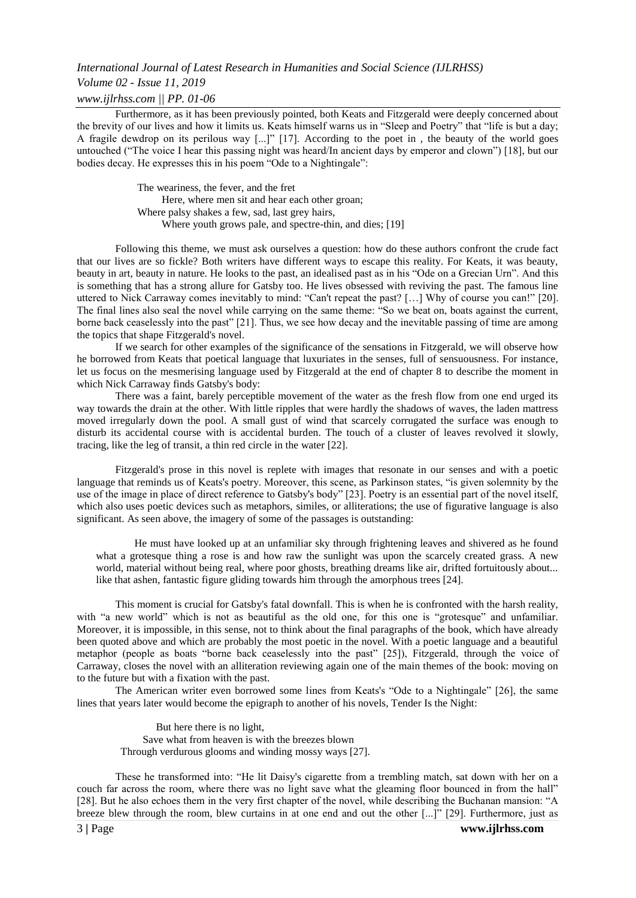# *Volume 02 - Issue 11, 2019*

## *www.ijlrhss.com || PP. 01-06*

Furthermore, as it has been previously pointed, both Keats and Fitzgerald were deeply concerned about the brevity of our lives and how it limits us. Keats himself warns us in "Sleep and Poetry" that "life is but a day; A fragile dewdrop on its perilous way [...]" [17]. According to the poet in , the beauty of the world goes untouched ("The voice I hear this passing night was heard/In ancient days by emperor and clown") [18], but our bodies decay. He expresses this in his poem "Ode to a Nightingale":

> The weariness, the fever, and the fret Here, where men sit and hear each other groan; Where palsy shakes a few, sad, last grey hairs, Where youth grows pale, and spectre-thin, and dies; [19]

Following this theme, we must ask ourselves a question: how do these authors confront the crude fact that our lives are so fickle? Both writers have different ways to escape this reality. For Keats, it was beauty, beauty in art, beauty in nature. He looks to the past, an idealised past as in his "Ode on a Grecian Urn". And this is something that has a strong allure for Gatsby too. He lives obsessed with reviving the past. The famous line uttered to Nick Carraway comes inevitably to mind: "Can't repeat the past? […] Why of course you can!" [20]. The final lines also seal the novel while carrying on the same theme: "So we beat on, boats against the current, borne back ceaselessly into the past" [21]. Thus, we see how decay and the inevitable passing of time are among the topics that shape Fitzgerald's novel.

If we search for other examples of the significance of the sensations in Fitzgerald, we will observe how he borrowed from Keats that poetical language that luxuriates in the senses, full of sensuousness. For instance, let us focus on the mesmerising language used by Fitzgerald at the end of chapter 8 to describe the moment in which Nick Carraway finds Gatsby's body:

There was a faint, barely perceptible movement of the water as the fresh flow from one end urged its way towards the drain at the other. With little ripples that were hardly the shadows of waves, the laden mattress moved irregularly down the pool. A small gust of wind that scarcely corrugated the surface was enough to disturb its accidental course with is accidental burden. The touch of a cluster of leaves revolved it slowly, tracing, like the leg of transit, a thin red circle in the water [22].

Fitzgerald's prose in this novel is replete with images that resonate in our senses and with a poetic language that reminds us of Keats's poetry. Moreover, this scene, as Parkinson states, "is given solemnity by the use of the image in place of direct reference to Gatsby's body" [23]. Poetry is an essential part of the novel itself, which also uses poetic devices such as metaphors, similes, or alliterations; the use of figurative language is also significant. As seen above, the imagery of some of the passages is outstanding:

He must have looked up at an unfamiliar sky through frightening leaves and shivered as he found what a grotesque thing a rose is and how raw the sunlight was upon the scarcely created grass. A new world, material without being real, where poor ghosts, breathing dreams like air, drifted fortuitously about... like that ashen, fantastic figure gliding towards him through the amorphous trees [24].

This moment is crucial for Gatsby's fatal downfall. This is when he is confronted with the harsh reality, with "a new world" which is not as beautiful as the old one, for this one is "grotesque" and unfamiliar. Moreover, it is impossible, in this sense, not to think about the final paragraphs of the book, which have already been quoted above and which are probably the most poetic in the novel. With a poetic language and a beautiful metaphor (people as boats "borne back ceaselessly into the past" [25]), Fitzgerald, through the voice of Carraway, closes the novel with an alliteration reviewing again one of the main themes of the book: moving on to the future but with a fixation with the past.

The American writer even borrowed some lines from Keats's "Ode to a Nightingale" [26], the same lines that years later would become the epigraph to another of his novels, Tender Is the Night:

But here there is no light, Save what from heaven is with the breezes blown Through verdurous glooms and winding mossy ways [27].

These he transformed into: "He lit Daisy's cigarette from a trembling match, sat down with her on a couch far across the room, where there was no light save what the gleaming floor bounced in from the hall" [28]. But he also echoes them in the very first chapter of the novel, while describing the Buchanan mansion: "A breeze blew through the room, blew curtains in at one end and out the other [...]" [29]. Furthermore, just as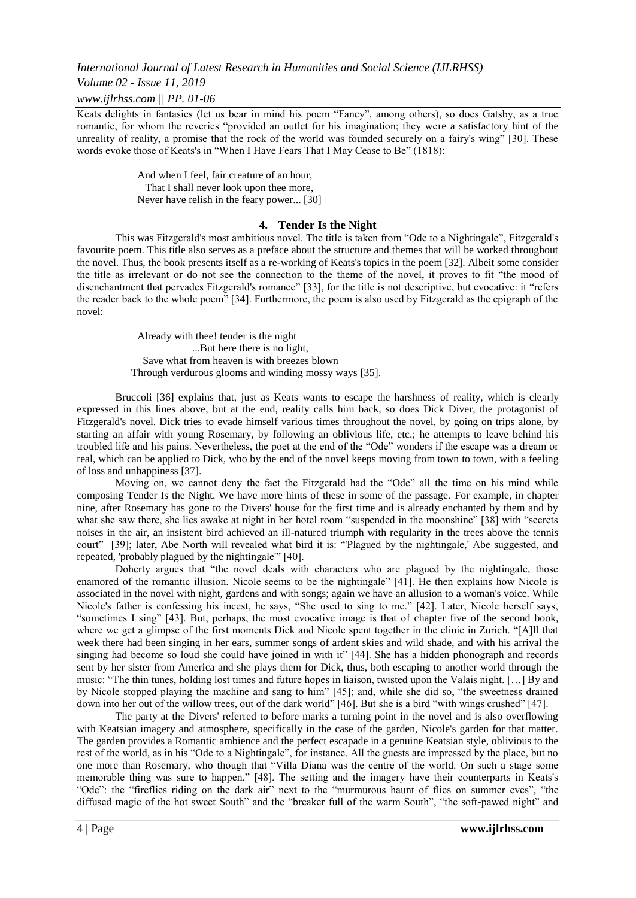### *Volume 02 - Issue 11, 2019*

*www.ijlrhss.com || PP. 01-06*

Keats delights in fantasies (let us bear in mind his poem "Fancy", among others), so does Gatsby, as a true romantic, for whom the reveries "provided an outlet for his imagination; they were a satisfactory hint of the unreality of reality, a promise that the rock of the world was founded securely on a fairy's wing" [30]. These words evoke those of Keats's in "When I Have Fears That I May Cease to Be" (1818):

> And when I feel, fair creature of an hour, That I shall never look upon thee more, Never have relish in the feary power... [30]

## **4. Tender Is the Night**

This was Fitzgerald's most ambitious novel. The title is taken from "Ode to a Nightingale", Fitzgerald's favourite poem. This title also serves as a preface about the structure and themes that will be worked throughout the novel. Thus, the book presents itself as a re-working of Keats's topics in the poem [32]. Albeit some consider the title as irrelevant or do not see the connection to the theme of the novel, it proves to fit "the mood of disenchantment that pervades Fitzgerald's romance" [33], for the title is not descriptive, but evocative: it "refers the reader back to the whole poem" [34]. Furthermore, the poem is also used by Fitzgerald as the epigraph of the novel:

> Already with thee! tender is the night ...But here there is no light, Save what from heaven is with breezes blown Through verdurous glooms and winding mossy ways [35].

Bruccoli [36] explains that, just as Keats wants to escape the harshness of reality, which is clearly expressed in this lines above, but at the end, reality calls him back, so does Dick Diver, the protagonist of Fitzgerald's novel. Dick tries to evade himself various times throughout the novel, by going on trips alone, by starting an affair with young Rosemary, by following an oblivious life, etc.; he attempts to leave behind his troubled life and his pains. Nevertheless, the poet at the end of the "Ode" wonders if the escape was a dream or real, which can be applied to Dick, who by the end of the novel keeps moving from town to town, with a feeling of loss and unhappiness [37].

Moving on, we cannot deny the fact the Fitzgerald had the "Ode" all the time on his mind while composing Tender Is the Night. We have more hints of these in some of the passage. For example, in chapter nine, after Rosemary has gone to the Divers' house for the first time and is already enchanted by them and by what she saw there, she lies awake at night in her hotel room "suspended in the moonshine" [38] with "secrets" noises in the air, an insistent bird achieved an ill-natured triumph with regularity in the trees above the tennis court" [39]; later, Abe North will revealed what bird it is: "'Plagued by the nightingale,' Abe suggested, and repeated, 'probably plagued by the nightingale'" [40].

Doherty argues that "the novel deals with characters who are plagued by the nightingale, those enamored of the romantic illusion. Nicole seems to be the nightingale" [41]. He then explains how Nicole is associated in the novel with night, gardens and with songs; again we have an allusion to a woman's voice. While Nicole's father is confessing his incest, he says, "She used to sing to me." [42]. Later, Nicole herself says, "sometimes I sing" [43]. But, perhaps, the most evocative image is that of chapter five of the second book, where we get a glimpse of the first moments Dick and Nicole spent together in the clinic in Zurich. "[A]ll that week there had been singing in her ears, summer songs of ardent skies and wild shade, and with his arrival the singing had become so loud she could have joined in with it" [44]. She has a hidden phonograph and records sent by her sister from America and she plays them for Dick, thus, both escaping to another world through the music: "The thin tunes, holding lost times and future hopes in liaison, twisted upon the Valais night. […] By and by Nicole stopped playing the machine and sang to him" [45]; and, while she did so, "the sweetness drained down into her out of the willow trees, out of the dark world" [46]. But she is a bird "with wings crushed" [47].

The party at the Divers' referred to before marks a turning point in the novel and is also overflowing with Keatsian imagery and atmosphere, specifically in the case of the garden, Nicole's garden for that matter. The garden provides a Romantic ambience and the perfect escapade in a genuine Keatsian style, oblivious to the rest of the world, as in his "Ode to a Nightingale", for instance. All the guests are impressed by the place, but no one more than Rosemary, who though that "Villa Diana was the centre of the world. On such a stage some memorable thing was sure to happen." [48]. The setting and the imagery have their counterparts in Keats's "Ode": the "fireflies riding on the dark air" next to the "murmurous haunt of flies on summer eves", "the diffused magic of the hot sweet South" and the "breaker full of the warm South", "the soft-pawed night" and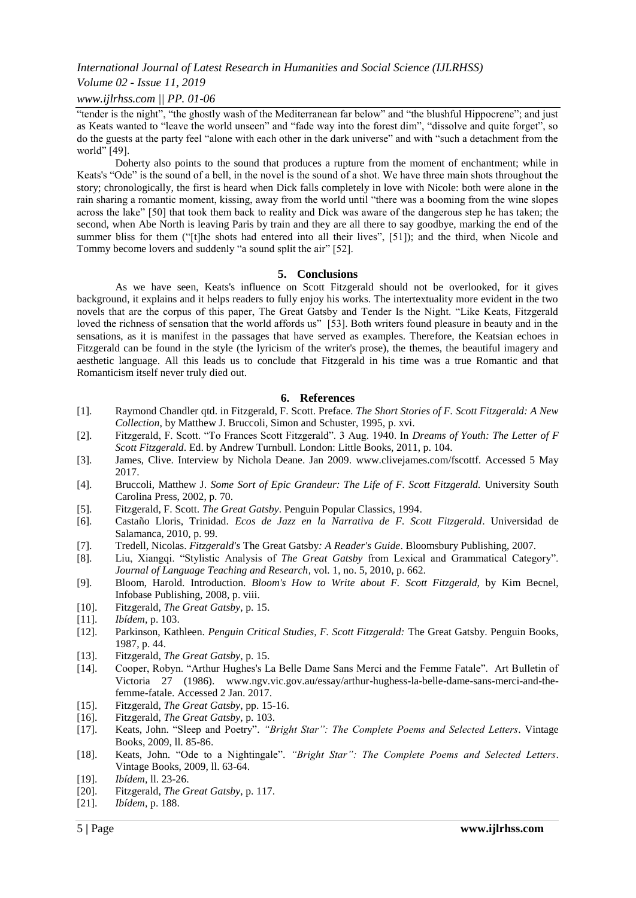#### *Volume 02 - Issue 11, 2019*

## *www.ijlrhss.com || PP. 01-06*

"tender is the night", "the ghostly wash of the Mediterranean far below" and "the blushful Hippocrene"; and just as Keats wanted to "leave the world unseen" and "fade way into the forest dim", "dissolve and quite forget", so do the guests at the party feel "alone with each other in the dark universe" and with "such a detachment from the world" [49].

Doherty also points to the sound that produces a rupture from the moment of enchantment; while in Keats's "Ode" is the sound of a bell, in the novel is the sound of a shot. We have three main shots throughout the story; chronologically, the first is heard when Dick falls completely in love with Nicole: both were alone in the rain sharing a romantic moment, kissing, away from the world until "there was a booming from the wine slopes across the lake" [50] that took them back to reality and Dick was aware of the dangerous step he has taken; the second, when Abe North is leaving Paris by train and they are all there to say goodbye, marking the end of the summer bliss for them ("[t]he shots had entered into all their lives", [51]); and the third, when Nicole and Tommy become lovers and suddenly "a sound split the air" [52].

## **5. Conclusions**

As we have seen, Keats's influence on Scott Fitzgerald should not be overlooked, for it gives background, it explains and it helps readers to fully enjoy his works. The intertextuality more evident in the two novels that are the corpus of this paper, The Great Gatsby and Tender Is the Night. "Like Keats, Fitzgerald loved the richness of sensation that the world affords us" [53]. Both writers found pleasure in beauty and in the sensations, as it is manifest in the passages that have served as examples. Therefore, the Keatsian echoes in Fitzgerald can be found in the style (the lyricism of the writer's prose), the themes, the beautiful imagery and aesthetic language. All this leads us to conclude that Fitzgerald in his time was a true Romantic and that Romanticism itself never truly died out.

#### **6. References**

- [1]. Raymond Chandler qtd. in Fitzgerald, F. Scott. Preface. *The Short Stories of F. Scott Fitzgerald: A New Collection*, by Matthew J. Bruccoli, Simon and Schuster, 1995, p. xvi.
- [2]. Fitzgerald, F. Scott. "To Frances Scott Fitzgerald". 3 Aug. 1940. In *Dreams of Youth: The Letter of F Scott Fitzgerald*. Ed. by Andrew Turnbull. London: Little Books, 2011, p. 104.
- [3]. James, Clive. Interview by Nichola Deane. Jan 2009. [www.clivejames.com/fscottf. Accessed 5 May](http://www.clivejames.com/fscottf.%20Accessed%205%20May%202017)  [2017.](http://www.clivejames.com/fscottf.%20Accessed%205%20May%202017)
- [4]. Bruccoli, Matthew J. *Some Sort of Epic Grandeur: The Life of F. Scott Fitzgerald.* University South Carolina Press, 2002, p. 70.
- [5]. Fitzgerald, F. Scott. *The Great Gatsby*. Penguin Popular Classics, 1994.
- [6]. Castaño Lloris, Trinidad. *Ecos de Jazz en la Narrativa de F. Scott Fitzgerald*. Universidad de Salamanca, 2010, p. 99.
- [7]. Tredell, Nicolas. *Fitzgerald's* The Great Gatsby*: A Reader's Guide*. Bloomsbury Publishing, 2007.
- [8]. Liu, Xiangqi. "Stylistic Analysis of *The Great Gatsby* from Lexical and Grammatical Category". *Journal of Language Teaching and Research*, vol. 1, no. 5, 2010, p. 662.
- [9]. Bloom, Harold. Introduction. *Bloom's How to Write about F. Scott Fitzgerald,* by Kim Becnel, Infobase Publishing, 2008, p. viii.
- [10]. Fitzgerald, *The Great Gatsby*, p. 15.
- [11]. *Ibídem*, p. 103.
- [12]. Parkinson, Kathleen. *Penguin Critical Studies, F. Scott Fitzgerald:* The Great Gatsby. Penguin Books, 1987, p. 44.
- [13]. Fitzgerald, *The Great Gatsby*, p. 15.
- [14]. Cooper, Robyn. "Arthur Hughes's La Belle Dame Sans Merci and the Femme Fatale". Art Bulletin of Victoria 27 (1986). www.ngv.vic.gov.au/essay/arthur-hughess-la-belle-dame-sans-merci-and-thefemme-fatale. Accessed 2 Jan. 2017.
- [15]. Fitzgerald, *The Great Gatsby*, pp. 15-16.
- [16]. Fitzgerald, *The Great Gatsby*, p. 103.
- [17]. Keats, John. "Sleep and Poetry". *"Bright Star": The Complete Poems and Selected Letters*. Vintage Books, 2009, ll. 85-86.
- [18]. Keats, John. "Ode to a Nightingale". *"Bright Star": The Complete Poems and Selected Letters*. Vintage Books, 2009, ll. 63-64.
- [19]. *Ibídem,* ll. 23-26.
- [20]. Fitzgerald, *The Great Gatsby*, p. 117.
- [21]. *Ibídem,* p. 188.